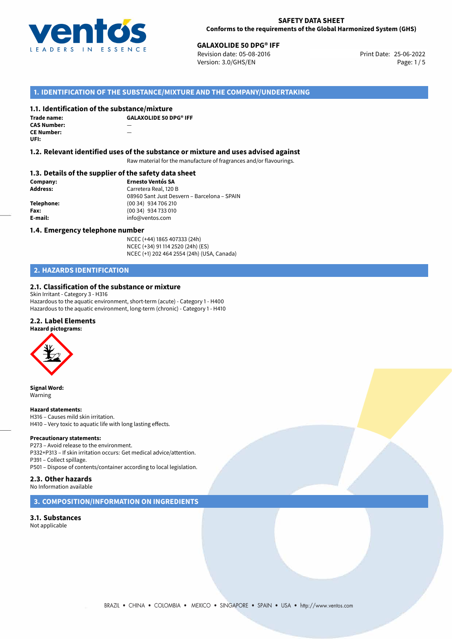

**25-06-2013 GALAXOLIDE 50 DPG® IFF**<br>
25-06-2022 Revision date: 05-08-2016 Print Date: 25-06-2022 Version: 3.0/GHS/EN Page: 1/5

## **1. IDENTIFICATION OF THE SUBSTANCE/MIXTURE AND THE COMPANY/UNDERTAKING**

## **1.1. Identification of the substance/mixture**

| Trade name:        | G. |
|--------------------|----|
| <b>CAS Number:</b> |    |
| <b>CE Number:</b>  |    |
| UFI:               |    |

**GALAXOLIDE 50 DPG® IFF**

## **1.2. Relevant identified uses of the substance or mixture and uses advised against**

Raw material for the manufacture of fragrances and/or flavourings.

## **1.3. Details of the supplier of the safety data sheet**

| Company:   | <b>Ernesto Ventós SA</b>                    |
|------------|---------------------------------------------|
| Address:   | Carretera Real, 120 B                       |
|            | 08960 Sant Just Desvern - Barcelona - SPAIN |
| Telephone: | (00 34) 934 706 210                         |
| Fax:       | (00 34) 934 733 010                         |
| E-mail:    | info@ventos.com                             |
|            |                                             |

## **1.4. Emergency telephone number**

NCEC (+44) 1865 407333 (24h) NCEC (+34) 91 114 2520 (24h) (ES) NCEC (+1) 202 464 2554 (24h) (USA, Canada)

# **2. HAZARDS IDENTIFICATION**

## **2.1. Classification of the substance or mixture**

Skin Irritant - Category 3 - H316 Hazardous to the aquatic environment, short-term (acute) - Category 1 - H400 Hazardous to the aquatic environment, long-term (chronic) - Category 1 - H410

## **2.2. Label Elements**



**Signal Word:** Warning

### **Hazard statements:**

H316 – Causes mild skin irritation. H410 – Very toxic to aquatic life with long lasting effects.

### **Precautionary statements:**

P273 – Avoid release to the environment. P332+P313 – If skin irritation occurs: Get medical advice/attention. P391 – Collect spillage. P501 – Dispose of contents/container according to local legislation.

## **2.3. Other hazards**

No Information available

## **3. COMPOSITION/INFORMATION ON INGREDIENTS**

**3.1. Substances** Not applicable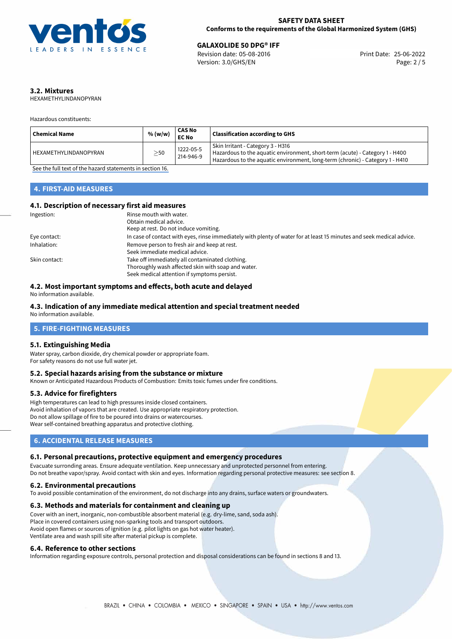

**GALAXOLIDE 50 DPG® IFF**<br>
Revision date: 05-08-2016 Print Date: 25-06-2022 Version: 3.0/GHS/EN Page: 2 / 5

# **3.2. Mixtures**

HEXAMETHYLINDANOPYRAN

Hazardous constituents:

| <b>Chemical Name</b>  | % (w/w)   | CAS No<br><b>EC No</b> | <b>Classification according to GHS</b>                                                                                                                                                             |
|-----------------------|-----------|------------------------|----------------------------------------------------------------------------------------------------------------------------------------------------------------------------------------------------|
| HEXAMETHYLINDANOPYRAN | $\geq$ 50 | 1222-05-5<br>214-946-9 | Skin Irritant - Category 3 - H316<br>Hazardous to the aquatic environment, short-term (acute) - Category 1 - H400<br>Hazardous to the aquatic environment, long-term (chronic) - Category 1 - H410 |

[See the full text of the hazard statements in section 16.](#page-4-0)

## **4. FIRST-AID MEASURES**

## **4.1. Description of necessary first aid measures**

| Ingestion:    | Rinse mouth with water.                                                                                               |
|---------------|-----------------------------------------------------------------------------------------------------------------------|
|               | Obtain medical advice.                                                                                                |
|               | Keep at rest. Do not induce vomiting.                                                                                 |
| Eye contact:  | In case of contact with eyes, rinse immediately with plenty of water for at least 15 minutes and seek medical advice. |
| Inhalation:   | Remove person to fresh air and keep at rest.                                                                          |
|               | Seek immediate medical advice.                                                                                        |
| Skin contact: | Take off immediately all contaminated clothing.                                                                       |
|               | Thoroughly wash affected skin with soap and water.                                                                    |
|               | Seek medical attention if symptoms persist.                                                                           |

## **4.2. Most important symptoms and effects, both acute and delayed**

No information available.

# **4.3. Indication of any immediate medical attention and special treatment needed**

No information available.

# **5. FIRE-FIGHTING MEASURES**

## **5.1. Extinguishing Media**

Water spray, carbon dioxide, dry chemical powder or appropriate foam. For safety reasons do not use full water jet.

## **5.2. Special hazards arising from the substance or mixture**

Known or Anticipated Hazardous Products of Combustion: Emits toxic fumes under fire conditions.

## **5.3. Advice for firefighters**

High temperatures can lead to high pressures inside closed containers. Avoid inhalation of vapors that are created. Use appropriate respiratory protection. Do not allow spillage of fire to be poured into drains or watercourses. Wear self-contained breathing apparatus and protective clothing.

# **6. ACCIDENTAL RELEASE MEASURES**

## **6.1. Personal precautions, protective equipment and emergency procedures**

Evacuate surronding areas. Ensure adequate ventilation. Keep unnecessary and unprotected personnel from entering. Do not breathe vapor/spray. Avoid contact with skin and eyes. Information regarding personal protective measures: see section 8.

## **6.2. Environmental precautions**

To avoid possible contamination of the environment, do not discharge into any drains, surface waters or groundwaters.

## **6.3. Methods and materials for containment and cleaning up**

Cover with an inert, inorganic, non-combustible absorbent material (e.g. dry-lime, sand, soda ash). Place in covered containers using non-sparking tools and transport outdoors. Avoid open flames or sources of ignition (e.g. pilot lights on gas hot water heater). Ventilate area and wash spill site after material pickup is complete.

## **6.4. Reference to other sections**

Information regarding exposure controls, personal protection and disposal considerations can be found in sections 8 and 13.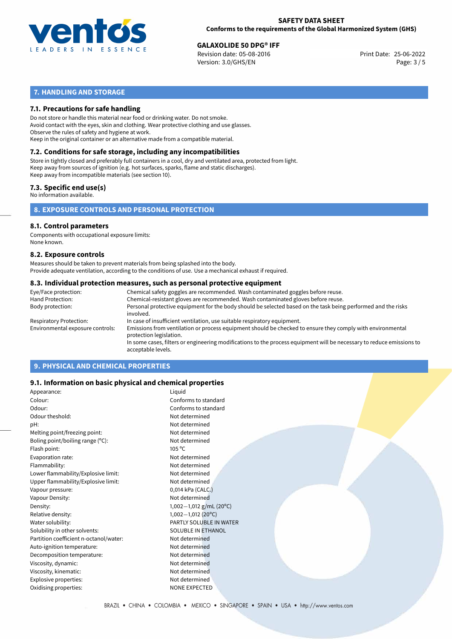

**GALAXOLIDE 50 DPG® IFF**<br>
Revision date: 05-08-2016 Print Date: 25-06-2022 Version: 3.0/GHS/EN Page: 3 / 5

# **7. HANDLING AND STORAGE**

## **7.1. Precautions for safe handling**

Do not store or handle this material near food or drinking water. Do not smoke. Avoid contact with the eyes, skin and clothing. Wear protective clothing and use glasses. Observe the rules of safety and hygiene at work. Keep in the original container or an alternative made from a compatible material.

# **7.2. Conditions for safe storage, including any incompatibilities**

Store in tightly closed and preferably full containers in a cool, dry and ventilated area, protected from light. Keep away from sources of ignition (e.g. hot surfaces, sparks, flame and static discharges). Keep away from incompatible materials (see section 10).

## **7.3. Specific end use(s)**

No information available.

## **8. EXPOSURE CONTROLS AND PERSONAL PROTECTION**

# **8.1. Control parameters**

Components with occupational exposure limits: None known.

## **8.2. Exposure controls**

Measures should be taken to prevent materials from being splashed into the body. Provide adequate ventilation, according to the conditions of use. Use a mechanical exhaust if required.

## **8.3. Individual protection measures, such as personal protective equipment**

| Eye/Face protection:             | Chemical safety goggles are recommended. Wash contaminated goggles before reuse.                                                            |
|----------------------------------|---------------------------------------------------------------------------------------------------------------------------------------------|
| Hand Protection:                 | Chemical-resistant gloves are recommended. Wash contaminated gloves before reuse.                                                           |
| Body protection:                 | Personal protective equipment for the body should be selected based on the task being performed and the risks<br>involved.                  |
| Respiratory Protection:          | In case of insufficient ventilation, use suitable respiratory equipment.                                                                    |
| Environmental exposure controls: | Emissions from ventilation or process equipment should be checked to ensure they comply with environmental<br>protection legislation.       |
|                                  | In some cases, filters or engineering modifications to the process equipment will be necessary to reduce emissions to<br>acceptable levels. |
|                                  |                                                                                                                                             |

# **9. PHYSICAL AND CHEMICAL PROPERTIES**

## **9.1. Information on basic physical and chemical properties**

| Appearance:                            | Liquid                  |  |
|----------------------------------------|-------------------------|--|
| Colour:                                | Conforms to standard    |  |
| Odour:                                 | Conforms to standard    |  |
| Odour theshold:                        | Not determined          |  |
| pH:                                    | Not determined          |  |
| Melting point/freezing point:          | Not determined          |  |
| Boling point/boiling range (°C):       | Not determined          |  |
| Flash point:                           | $105^{\circ}$ C         |  |
| Evaporation rate:                      | Not determined          |  |
| Flammability:                          | Not determined          |  |
| Lower flammability/Explosive limit:    | Not determined          |  |
| Upper flammability/Explosive limit:    | Not determined          |  |
| Vapour pressure:                       | 0,014 kPa (CALC.)       |  |
| Vapour Density:                        | Not determined          |  |
| Density:                               | 1,002-1,012 g/mL (20°C) |  |
| Relative density:                      | $1,002-1,012(20°C)$     |  |
| Water solubility:                      | PARTLY SOLUBLE IN WATER |  |
| Solubility in other solvents:          | SOLUBLE IN ETHANOL      |  |
| Partition coefficient n-octanol/water: | Not determined          |  |
| Auto-ignition temperature:             | Not determined          |  |
| Decomposition temperature:             | Not determined          |  |
| Viscosity, dynamic:                    | Not determined          |  |
| Viscosity, kinematic:                  | Not determined          |  |
| Explosive properties:                  | Not determined          |  |
| Oxidising properties:                  | <b>NONE EXPECTED</b>    |  |
|                                        |                         |  |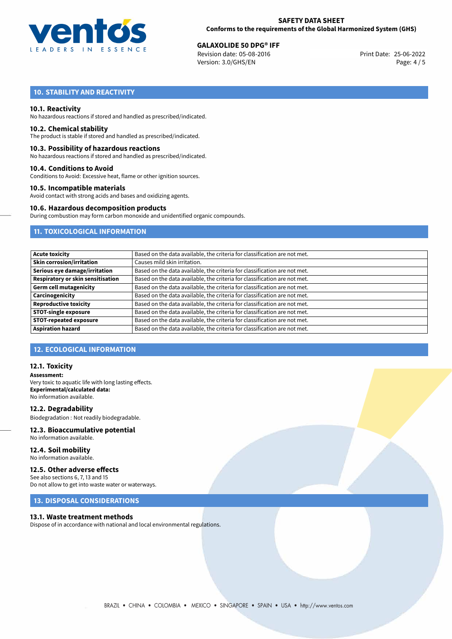

**GALAXOLIDE 50 DPG® IFF**<br>
Revision date: 05-08-2016 Print Date: 25-06-2022 Version: 3.0/GHS/EN Page: 4 / 5

# **10. STABILITY AND REACTIVITY**

## **10.1. Reactivity**

No hazardous reactions if stored and handled as prescribed/indicated.

## **10.2. Chemical stability**

The product is stable if stored and handled as prescribed/indicated.

## **10.3. Possibility of hazardous reactions**

No hazardous reactions if stored and handled as prescribed/indicated.

## **10.4. Conditions to Avoid**

Conditions to Avoid: Excessive heat, flame or other ignition sources.

## **10.5. Incompatible materials**

Avoid contact with strong acids and bases and oxidizing agents.

## **10.6. Hazardous decomposition products**

During combustion may form carbon monoxide and unidentified organic compounds.

## **11. TOXICOLOGICAL INFORMATION**

| <b>Acute toxicity</b>                    | Based on the data available, the criteria for classification are not met. |
|------------------------------------------|---------------------------------------------------------------------------|
| <b>Skin corrosion/irritation</b>         | Causes mild skin irritation.                                              |
| Serious eye damage/irritation            | Based on the data available, the criteria for classification are not met. |
| <b>Respiratory or skin sensitisation</b> | Based on the data available, the criteria for classification are not met. |
| <b>Germ cell mutagenicity</b>            | Based on the data available, the criteria for classification are not met. |
| Carcinogenicity                          | Based on the data available, the criteria for classification are not met. |
| <b>Reproductive toxicity</b>             | Based on the data available, the criteria for classification are not met. |
| <b>STOT-single exposure</b>              | Based on the data available, the criteria for classification are not met. |
| <b>STOT-repeated exposure</b>            | Based on the data available, the criteria for classification are not met. |
| <b>Aspiration hazard</b>                 | Based on the data available, the criteria for classification are not met. |

## **12. ECOLOGICAL INFORMATION**

## **12.1. Toxicity**

**Assessment:** Very toxic to aquatic life with long lasting effects. **Experimental/calculated data:** No information available.

**12.2. Degradability** Biodegradation : Not readily biodegradable.

# **12.3. Bioaccumulative potential**

No information available.

**12.4. Soil mobility** No information available.

## **12.5. Other adverse effects**

See also sections 6, 7, 13 and 15 Do not allow to get into waste water or waterways.

## **13. DISPOSAL CONSIDERATIONS**

## **13.1. Waste treatment methods**

Dispose of in accordance with national and local environmental regulations.